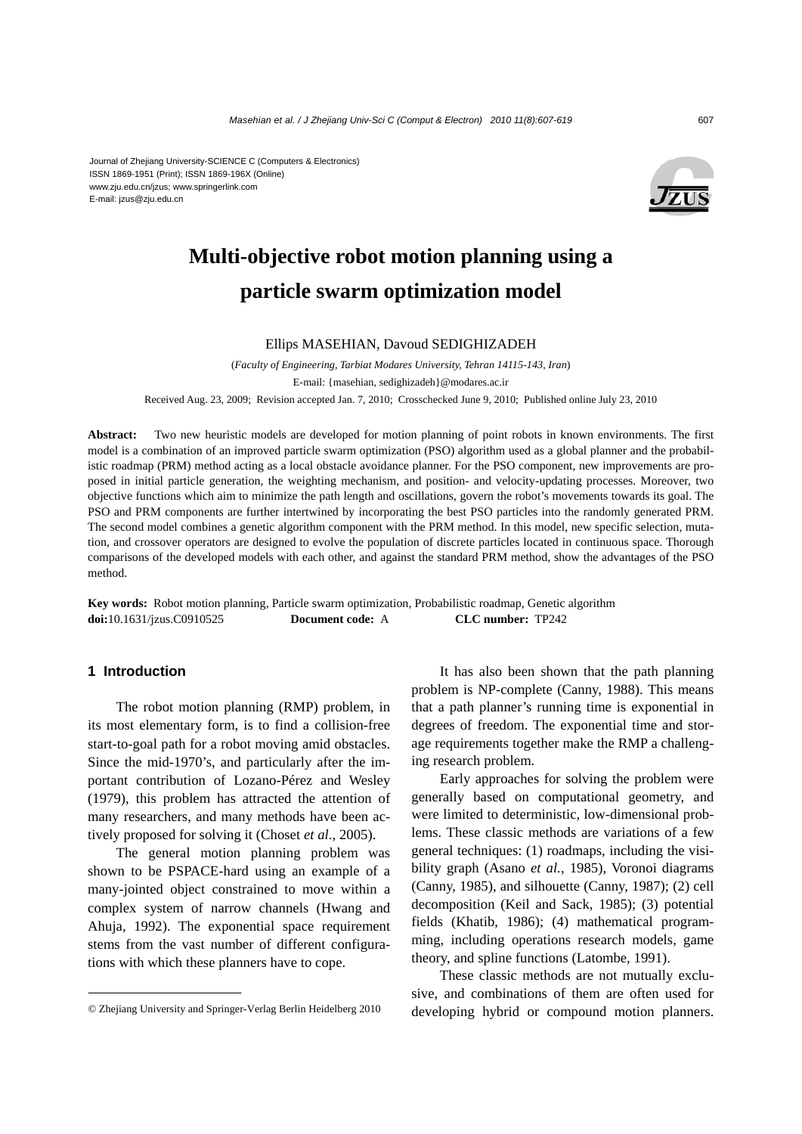Journal of Zhejiang University-SCIENCE C (Computers & Electronics) ISSN 1869-1951 (Print); ISSN 1869-196X (Online) www.zju.edu.cn/jzus; www.springerlink.com E-mail: jzus@zju.edu.cn



# **Multi-objective robot motion planning using a particle swarm optimization model**

Ellips MASEHIAN, Davoud SEDIGHIZADEH

(*Faculty of Engineering, Tarbiat Modares University, Tehran 14115-143, Iran*) E-mail: {masehian, sedighizadeh}@modares.ac.ir Received Aug. 23, 2009; Revision accepted Jan. 7, 2010; Crosschecked June 9, 2010; Published online July 23, 2010

**Abstract:** Two new heuristic models are developed for motion planning of point robots in known environments. The first model is a combination of an improved particle swarm optimization (PSO) algorithm used as a global planner and the probabilistic roadmap (PRM) method acting as a local obstacle avoidance planner. For the PSO component, new improvements are proposed in initial particle generation, the weighting mechanism, and position- and velocity-updating processes. Moreover, two objective functions which aim to minimize the path length and oscillations, govern the robot's movements towards its goal. The PSO and PRM components are further intertwined by incorporating the best PSO particles into the randomly generated PRM. The second model combines a genetic algorithm component with the PRM method. In this model, new specific selection, mutation, and crossover operators are designed to evolve the population of discrete particles located in continuous space. Thorough comparisons of the developed models with each other, and against the standard PRM method, show the advantages of the PSO method.

**Key words:** Robot motion planning, Particle swarm optimization, Probabilistic roadmap, Genetic algorithm **doi:**10.1631/jzus.C0910525 **Document code:** A **CLC number:** TP242

# **1 Introduction**

The robot motion planning (RMP) problem, in its most elementary form, is to find a collision-free start-to-goal path for a robot moving amid obstacles. Since the mid-1970's, and particularly after the important contribution of Lozano-Pérez and Wesley (1979), this problem has attracted the attention of many researchers, and many methods have been actively proposed for solving it (Choset *et al*., 2005).

The general motion planning problem was shown to be PSPACE-hard using an example of a many-jointed object constrained to move within a complex system of narrow channels (Hwang and Ahuja, 1992). The exponential space requirement stems from the vast number of different configurations with which these planners have to cope.

It has also been shown that the path planning problem is NP-complete (Canny, 1988). This means that a path planner's running time is exponential in degrees of freedom. The exponential time and storage requirements together make the RMP a challenging research problem.

Early approaches for solving the problem were generally based on computational geometry, and were limited to deterministic, low-dimensional problems. These classic methods are variations of a few general techniques: (1) roadmaps, including the visibility graph (Asano *et al.*, 1985), Voronoi diagrams (Canny, 1985), and silhouette (Canny, 1987); (2) cell decomposition (Keil and Sack, 1985); (3) potential fields (Khatib, 1986); (4) mathematical programming, including operations research models, game theory, and spline functions (Latombe, 1991).

These classic methods are not mutually exclusive, and combinations of them are often used for © Zhejiang University and Springer-Verlag Berlin Heidelberg 2010 developing hybrid or compound motion planners.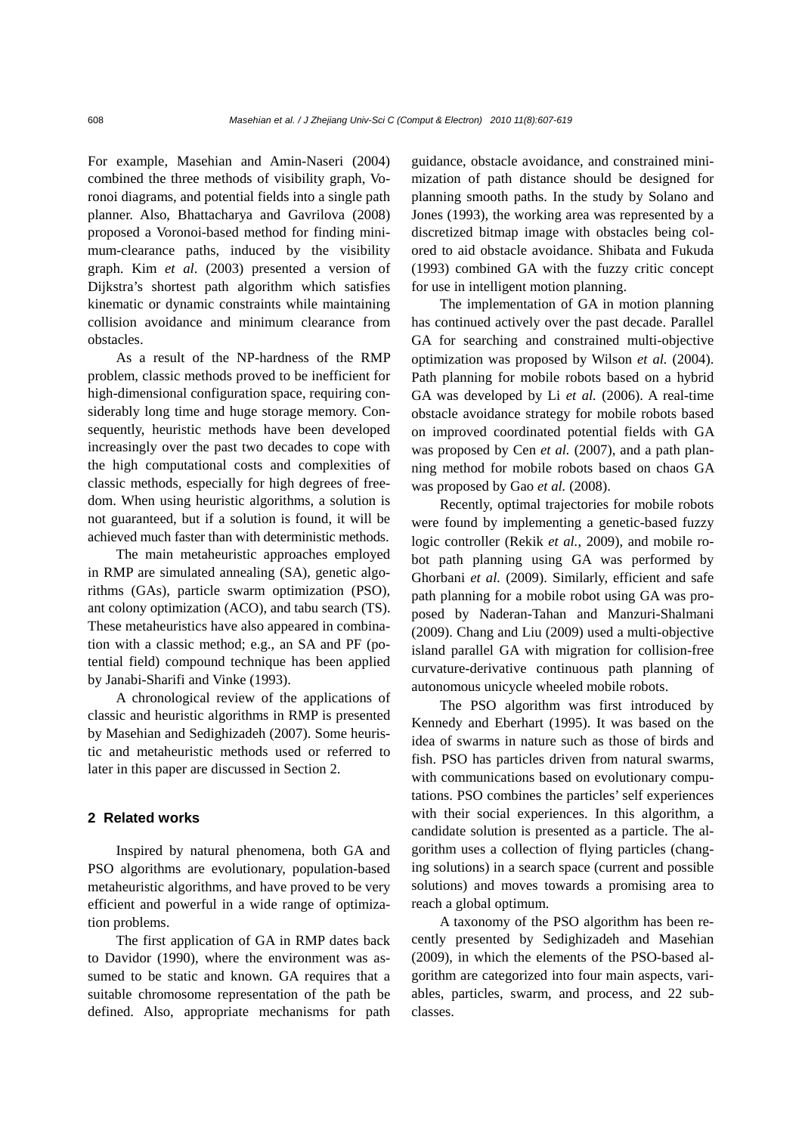For example, Masehian and Amin-Naseri (2004) combined the three methods of visibility graph, Voronoi diagrams, and potential fields into a single path planner. Also, Bhattacharya and Gavrilova (2008) proposed a Voronoi-based method for finding minimum-clearance paths, induced by the visibility graph. Kim *et al*. (2003) presented a version of Dijkstra's shortest path algorithm which satisfies kinematic or dynamic constraints while maintaining collision avoidance and minimum clearance from obstacles.

As a result of the NP-hardness of the RMP problem, classic methods proved to be inefficient for high-dimensional configuration space, requiring considerably long time and huge storage memory. Consequently, heuristic methods have been developed increasingly over the past two decades to cope with the high computational costs and complexities of classic methods, especially for high degrees of freedom. When using heuristic algorithms, a solution is not guaranteed, but if a solution is found, it will be achieved much faster than with deterministic methods.

The main metaheuristic approaches employed in RMP are simulated annealing (SA), genetic algorithms (GAs), particle swarm optimization (PSO), ant colony optimization (ACO), and tabu search (TS). These metaheuristics have also appeared in combination with a classic method; e.g., an SA and PF (potential field) compound technique has been applied by Janabi-Sharifi and Vinke (1993).

A chronological review of the applications of classic and heuristic algorithms in RMP is presented by Masehian and Sedighizadeh (2007). Some heuristic and metaheuristic methods used or referred to later in this paper are discussed in Section 2.

# **2 Related works**

Inspired by natural phenomena, both GA and PSO algorithms are evolutionary, population-based metaheuristic algorithms, and have proved to be very efficient and powerful in a wide range of optimization problems.

The first application of GA in RMP dates back to Davidor (1990), where the environment was assumed to be static and known. GA requires that a suitable chromosome representation of the path be defined. Also, appropriate mechanisms for path

guidance, obstacle avoidance, and constrained minimization of path distance should be designed for planning smooth paths. In the study by Solano and Jones (1993), the working area was represented by a discretized bitmap image with obstacles being colored to aid obstacle avoidance. Shibata and Fukuda (1993) combined GA with the fuzzy critic concept for use in intelligent motion planning.

The implementation of GA in motion planning has continued actively over the past decade. Parallel GA for searching and constrained multi-objective optimization was proposed by Wilson *et al.* (2004). Path planning for mobile robots based on a hybrid GA was developed by Li *et al.* (2006). A real-time obstacle avoidance strategy for mobile robots based on improved coordinated potential fields with GA was proposed by Cen *et al.* (2007), and a path planning method for mobile robots based on chaos GA was proposed by Gao *et al.* (2008).

Recently, optimal trajectories for mobile robots were found by implementing a genetic-based fuzzy logic controller (Rekik *et al.*, 2009), and mobile robot path planning using GA was performed by Ghorbani et al. (2009). Similarly, efficient and safe path planning for a mobile robot using GA was proposed by Naderan-Tahan and Manzuri-Shalmani (2009). Chang and Liu (2009) used a multi-objective island parallel GA with migration for collision-free curvature-derivative continuous path planning of autonomous unicycle wheeled mobile robots.

The PSO algorithm was first introduced by Kennedy and Eberhart (1995). It was based on the idea of swarms in nature such as those of birds and fish. PSO has particles driven from natural swarms, with communications based on evolutionary computations. PSO combines the particles' self experiences with their social experiences. In this algorithm, a candidate solution is presented as a particle. The algorithm uses a collection of flying particles (changing solutions) in a search space (current and possible solutions) and moves towards a promising area to reach a global optimum.

A taxonomy of the PSO algorithm has been recently presented by Sedighizadeh and Masehian (2009), in which the elements of the PSO-based algorithm are categorized into four main aspects, variables, particles, swarm, and process, and 22 subclasses.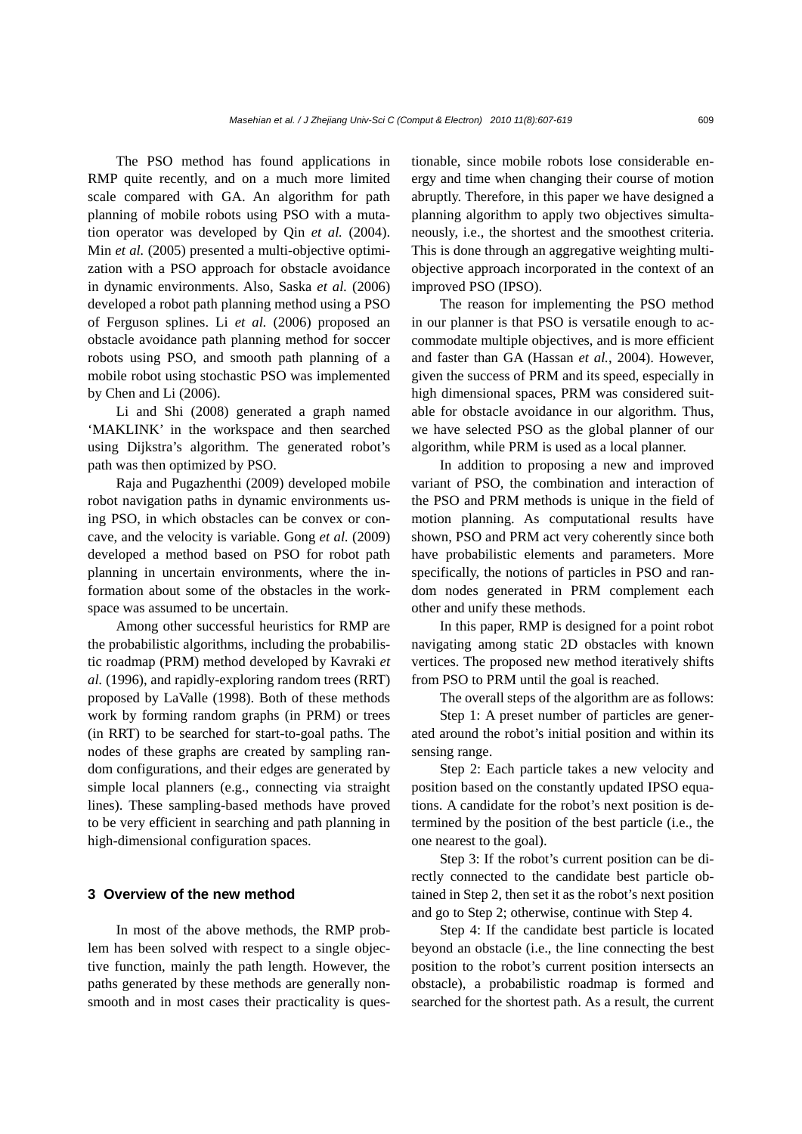The PSO method has found applications in RMP quite recently, and on a much more limited scale compared with GA. An algorithm for path planning of mobile robots using PSO with a mutation operator was developed by Qin *et al.* (2004). Min *et al.* (2005) presented a multi-objective optimization with a PSO approach for obstacle avoidance in dynamic environments. Also, Saska *et al.* (2006) developed a robot path planning method using a PSO of Ferguson splines. Li *et al.* (2006) proposed an obstacle avoidance path planning method for soccer robots using PSO, and smooth path planning of a mobile robot using stochastic PSO was implemented by Chen and Li (2006).

Li and Shi (2008) generated a graph named 'MAKLINK' in the workspace and then searched using Dijkstra's algorithm. The generated robot's path was then optimized by PSO.

Raja and Pugazhenthi (2009) developed mobile robot navigation paths in dynamic environments using PSO, in which obstacles can be convex or concave, and the velocity is variable. Gong *et al.* (2009) developed a method based on PSO for robot path planning in uncertain environments, where the information about some of the obstacles in the workspace was assumed to be uncertain.

Among other successful heuristics for RMP are the probabilistic algorithms, including the probabilistic roadmap (PRM) method developed by Kavraki *et al.* (1996), and rapidly-exploring random trees (RRT) proposed by LaValle (1998). Both of these methods work by forming random graphs (in PRM) or trees (in RRT) to be searched for start-to-goal paths. The nodes of these graphs are created by sampling random configurations, and their edges are generated by simple local planners (e.g., connecting via straight lines). These sampling-based methods have proved to be very efficient in searching and path planning in high-dimensional configuration spaces.

## **3 Overview of the new method**

In most of the above methods, the RMP problem has been solved with respect to a single objective function, mainly the path length. However, the paths generated by these methods are generally nonsmooth and in most cases their practicality is questionable, since mobile robots lose considerable energy and time when changing their course of motion abruptly. Therefore, in this paper we have designed a planning algorithm to apply two objectives simultaneously, i.e., the shortest and the smoothest criteria. This is done through an aggregative weighting multiobjective approach incorporated in the context of an improved PSO (IPSO).

The reason for implementing the PSO method in our planner is that PSO is versatile enough to accommodate multiple objectives, and is more efficient and faster than GA (Hassan *et al.*, 2004). However, given the success of PRM and its speed, especially in high dimensional spaces, PRM was considered suitable for obstacle avoidance in our algorithm. Thus, we have selected PSO as the global planner of our algorithm, while PRM is used as a local planner.

In addition to proposing a new and improved variant of PSO, the combination and interaction of the PSO and PRM methods is unique in the field of motion planning. As computational results have shown, PSO and PRM act very coherently since both have probabilistic elements and parameters. More specifically, the notions of particles in PSO and random nodes generated in PRM complement each other and unify these methods.

In this paper, RMP is designed for a point robot navigating among static 2D obstacles with known vertices. The proposed new method iteratively shifts from PSO to PRM until the goal is reached.

The overall steps of the algorithm are as follows:

Step 1: A preset number of particles are generated around the robot's initial position and within its sensing range.

Step 2: Each particle takes a new velocity and position based on the constantly updated IPSO equations. A candidate for the robot's next position is determined by the position of the best particle (i.e., the one nearest to the goal).

Step 3: If the robot's current position can be directly connected to the candidate best particle obtained in Step 2, then set it as the robot's next position and go to Step 2; otherwise, continue with Step 4.

Step 4: If the candidate best particle is located beyond an obstacle (i.e., the line connecting the best position to the robot's current position intersects an obstacle), a probabilistic roadmap is formed and searched for the shortest path. As a result, the current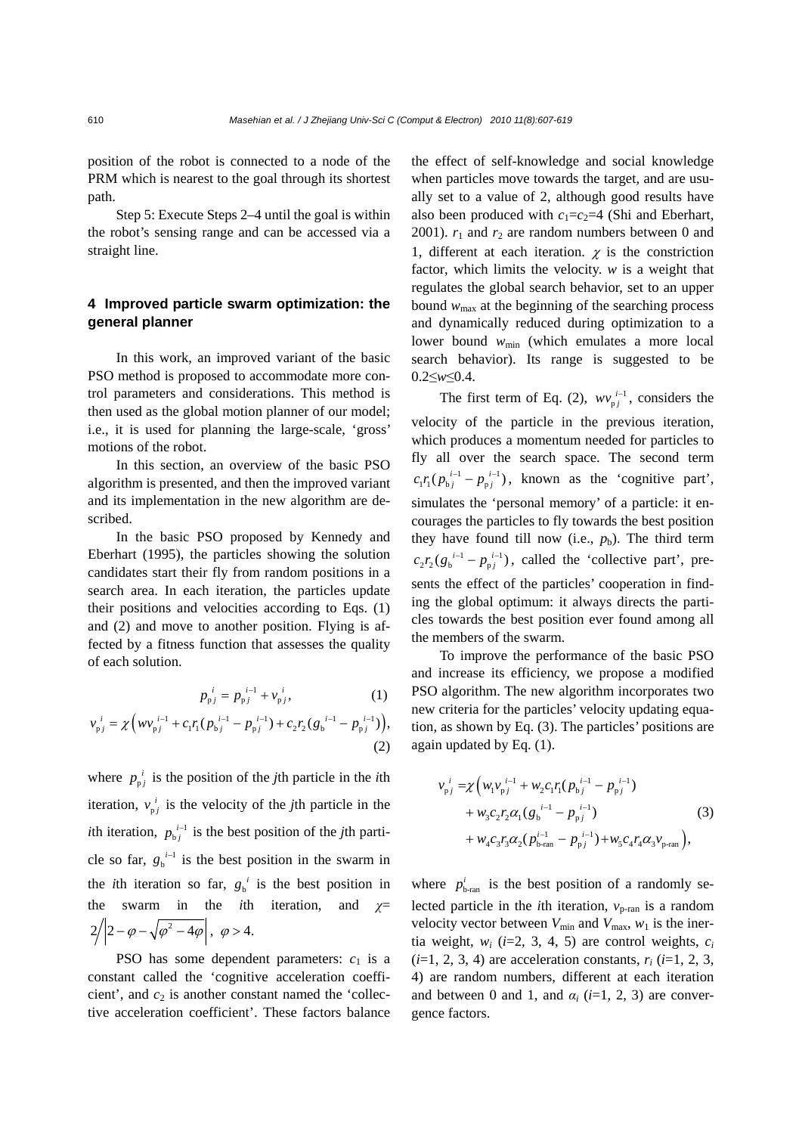position of the robot is connected to a node of the PRM which is nearest to the goal through its shortest path.

Step 5: Execute Steps 2–4 until the goal is within the robot's sensing range and can be accessed via a straight line.

# **4 Improved particle swarm optimization: the general planner**

In this work, an improved variant of the basic PSO method is proposed to accommodate more control parameters and considerations. This method is then used as the global motion planner of our model; i.e., it is used for planning the large-scale, 'gross' motions of the robot.

In this section, an overview of the basic PSO algorithm is presented, and then the improved variant and its implementation in the new algorithm are described.

In the basic PSO proposed by Kennedy and Eberhart (1995), the particles showing the solution candidates start their fly from random positions in a search area. In each iteration, the particles update their positions and velocities according to Eqs. (1) and (2) and move to another position. Flying is affected by a fitness function that assesses the quality of each solution.

$$
p_{\rm p\,j}^{\;\;i} = p_{\rm p\,j}^{\;\;i-1} + v_{\rm p\,j}^{\;\;i},\tag{1}
$$

$$
v_{pj}^{i} = \chi \Big( w v_{pj}^{i-1} + c_1 r_1 (p_{bj}^{i-1} - p_{pj}^{i-1}) + c_2 r_2 (g_b^{i-1} - p_{pj}^{i-1}) \Big), \tag{2}
$$

where  $p_{p_i}^i$  is the position of the *j*th particle in the *i*th iteration,  $v_{pj}^i$  is the velocity of the *j*th particle in the *i*th iteration,  $p_{b}^{i-1}$  is the best position of the *j*th particle so far,  $g_b^{i-1}$  is the best position in the swarm in the *i*th iteration so far,  $g_b^i$  is the best position in the swarm in the *i*th iteration, and  $\chi$ =  $2/|2-\varphi-\sqrt{\varphi^2-4\varphi}|, \varphi > 4.$ 

PSO has some dependent parameters:  $c_1$  is a constant called the 'cognitive acceleration coefficient', and  $c_2$  is another constant named the 'collective acceleration coefficient'. These factors balance the effect of self-knowledge and social knowledge when particles move towards the target, and are usually set to a value of 2, although good results have also been produced with  $c_1 = c_2 = 4$  (Shi and Eberhart, 2001).  $r_1$  and  $r_2$  are random numbers between 0 and 1, different at each iteration.  $\chi$  is the constriction factor, which limits the velocity. *w* is a weight that regulates the global search behavior, set to an upper bound *w*max at the beginning of the searching process and dynamically reduced during optimization to a lower bound  $w_{min}$  (which emulates a more local search behavior). Its range is suggested to be 0.2≤*w*≤0.4.

The first term of Eq. (2),  $w v_{pi}^{i-1}$ , considers the velocity of the particle in the previous iteration, which produces a momentum needed for particles to fly all over the search space. The second term  $c_1 r_1 (p_{b_j}^{i-1} - p_{p_j}^{i-1})$ , known as the 'cognitive part', simulates the 'personal memory' of a particle: it encourages the particles to fly towards the best position they have found till now (i.e.,  $p<sub>b</sub>$ ). The third term  $c_2 r_2 (g_b^{i-1} - p_{p_j}^{i-1})$ , called the 'collective part', presents the effect of the particles' cooperation in finding the global optimum: it always directs the particles towards the best position ever found among all the members of the swarm.

To improve the performance of the basic PSO and increase its efficiency, we propose a modified PSO algorithm. The new algorithm incorporates two new criteria for the particles' velocity updating equation, as shown by Eq. (3). The particles' positions are again updated by Eq. (1).

$$
v_{pj}^{i} = \chi \Big( w_{1} v_{pj}^{i-1} + w_{2} c_{1} r_{1} (p_{bj}^{i-1} - p_{pj}^{i-1}) + w_{3} c_{2} r_{2} \alpha_{1} (g_{b}^{i-1} - p_{pj}^{i-1}) + w_{4} c_{3} r_{3} \alpha_{2} (p_{b\text{-ran}}^{i-1} - p_{pj}^{i-1}) + w_{5} c_{4} r_{4} \alpha_{3} v_{p\text{-ran}} \Big), \tag{3}
$$

where  $p_{\text{b-ran}}^i$  is the best position of a randomly selected particle in the *i*th iteration,  $v_{p-ran}$  is a random velocity vector between  $V_{\text{min}}$  and  $V_{\text{max}}$ ,  $w_1$  is the inertia weight,  $w_i$  ( $i=2, 3, 4, 5$ ) are control weights,  $c_i$  $(i=1, 2, 3, 4)$  are acceleration constants,  $r_i$   $(i=1, 2, 3, 4)$ 4) are random numbers, different at each iteration and between 0 and 1, and  $\alpha_i$  (*i*=1, 2, 3) are convergence factors.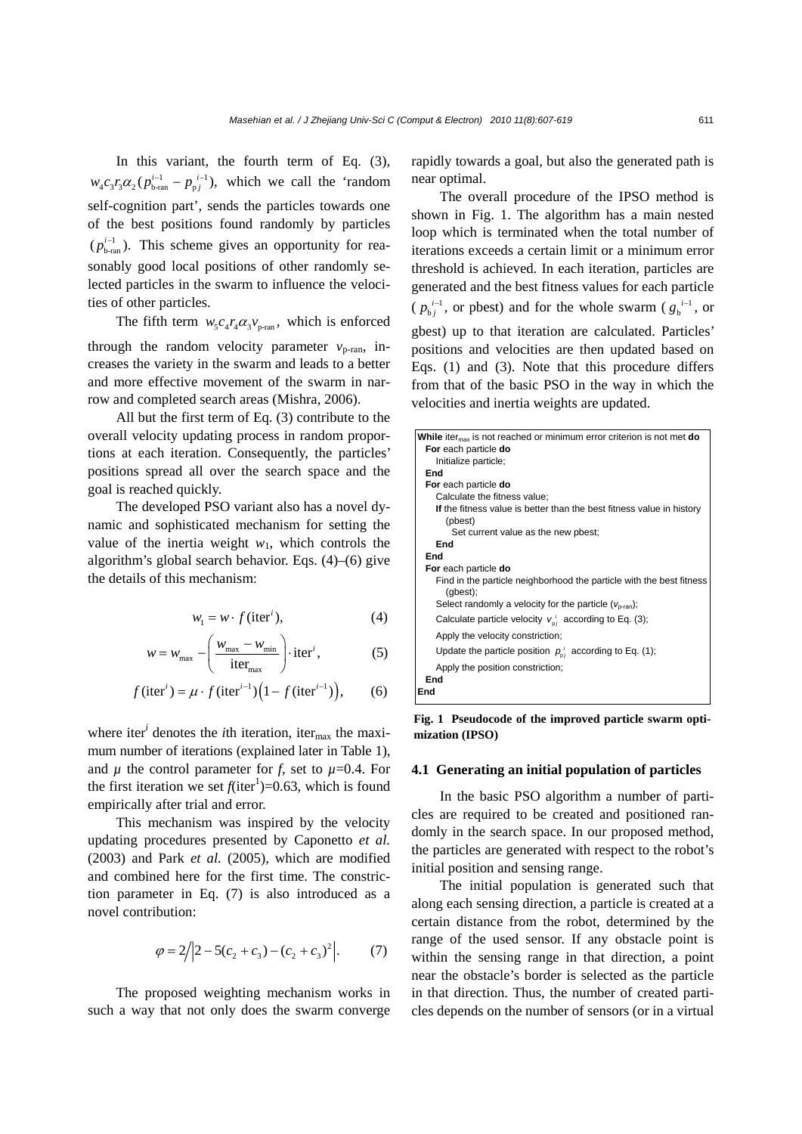In this variant, the fourth term of Eq. (3),  $w_4 c_3 r_3 \alpha_2 (p_{\text{b-ran}}^{i-1} - p_{\text{p}j}^{i-1}),$  which we call the 'random self-cognition part', sends the particles towards one of the best positions found randomly by particles  $(p_{\text{bran}}^{i-1})$ . This scheme gives an opportunity for reasonably good local positions of other randomly selected particles in the swarm to influence the velocities of other particles.

The fifth term  $w_5 c_4 r_4 \alpha_3 v_{\text{n-ran}}$ , which is enforced through the random velocity parameter  $v_{p-ran}$ , increases the variety in the swarm and leads to a better and more effective movement of the swarm in narrow and completed search areas (Mishra, 2006).

All but the first term of Eq. (3) contribute to the overall velocity updating process in random proportions at each iteration. Consequently, the particles' positions spread all over the search space and the goal is reached quickly.

The developed PSO variant also has a novel dynamic and sophisticated mechanism for setting the value of the inertia weight  $w_1$ , which controls the algorithm's global search behavior. Eqs. (4)–(6) give the details of this mechanism:

$$
w_1 = w \cdot f(\text{iter}^i),\tag{4}
$$

$$
w = w_{\text{max}} - \left(\frac{w_{\text{max}} - w_{\text{min}}}{\text{iter}_{\text{max}}}\right) \cdot \text{iter}^i, \tag{5}
$$

$$
f(\text{iter}^i) = \mu \cdot f(\text{iter}^{i-1}) \Big( 1 - f(\text{iter}^{i-1}) \Big), \qquad (6)
$$

where iter<sup>*i*</sup> denotes the *i*th iteration, iter<sub>max</sub> the maximum number of iterations (explained later in Table 1), and  $\mu$  the control parameter for *f*, set to  $\mu$ =0.4. For the first iteration we set  $f(\text{iter}^1) = 0.63$ , which is found empirically after trial and error.

This mechanism was inspired by the velocity updating procedures presented by Caponetto *et al.*  (2003) and Park *et al.* (2005), which are modified and combined here for the first time. The constriction parameter in Eq. (7) is also introduced as a novel contribution:

$$
\varphi = 2/|2 - 5(c_2 + c_3) - (c_2 + c_3)^2|.
$$
 (7)

The proposed weighting mechanism works in such a way that not only does the swarm converge rapidly towards a goal, but also the generated path is near optimal.

The overall procedure of the IPSO method is shown in Fig. 1. The algorithm has a main nested loop which is terminated when the total number of iterations exceeds a certain limit or a minimum error threshold is achieved. In each iteration, particles are generated and the best fitness values for each particle ( $p_{\rm b}^{i-1}$ , or pbest) and for the whole swarm ( $g_{\rm b}^{i-1}$ , or gbest) up to that iteration are calculated. Particles' positions and velocities are then updated based on Eqs. (1) and (3). Note that this procedure differs from that of the basic PSO in the way in which the velocities and inertia weights are updated.

| While iter <sub>max</sub> is not reached or minimum error criterion is not met do   |
|-------------------------------------------------------------------------------------|
| For each particle do                                                                |
| Initialize particle;                                                                |
| End                                                                                 |
| For each particle do                                                                |
| Calculate the fitness value;                                                        |
| If the fitness value is better than the best fitness value in history               |
| (pbest)                                                                             |
| Set current value as the new pbest;                                                 |
| End                                                                                 |
| End                                                                                 |
| For each particle do                                                                |
| Find in the particle neighborhood the particle with the best fitness<br>$(dbest)$ : |
| Select randomly a velocity for the particle $(v_{p\text{-ran}});$                   |
| Calculate particle velocity $v_{0i}$ according to Eq. (3);                          |
| Apply the velocity constriction;                                                    |
| Update the particle position $p_{0i}^{t}$ according to Eq. (1);                     |
| Apply the position constriction;                                                    |
| End<br>End                                                                          |

**Fig. 1 Pseudocode of the improved particle swarm optimization (IPSO)** 

#### **4.1 Generating an initial population of particles**

In the basic PSO algorithm a number of particles are required to be created and positioned randomly in the search space. In our proposed method, the particles are generated with respect to the robot's initial position and sensing range.

The initial population is generated such that along each sensing direction, a particle is created at a certain distance from the robot, determined by the range of the used sensor. If any obstacle point is within the sensing range in that direction, a point near the obstacle's border is selected as the particle in that direction. Thus, the number of created particles depends on the number of sensors (or in a virtual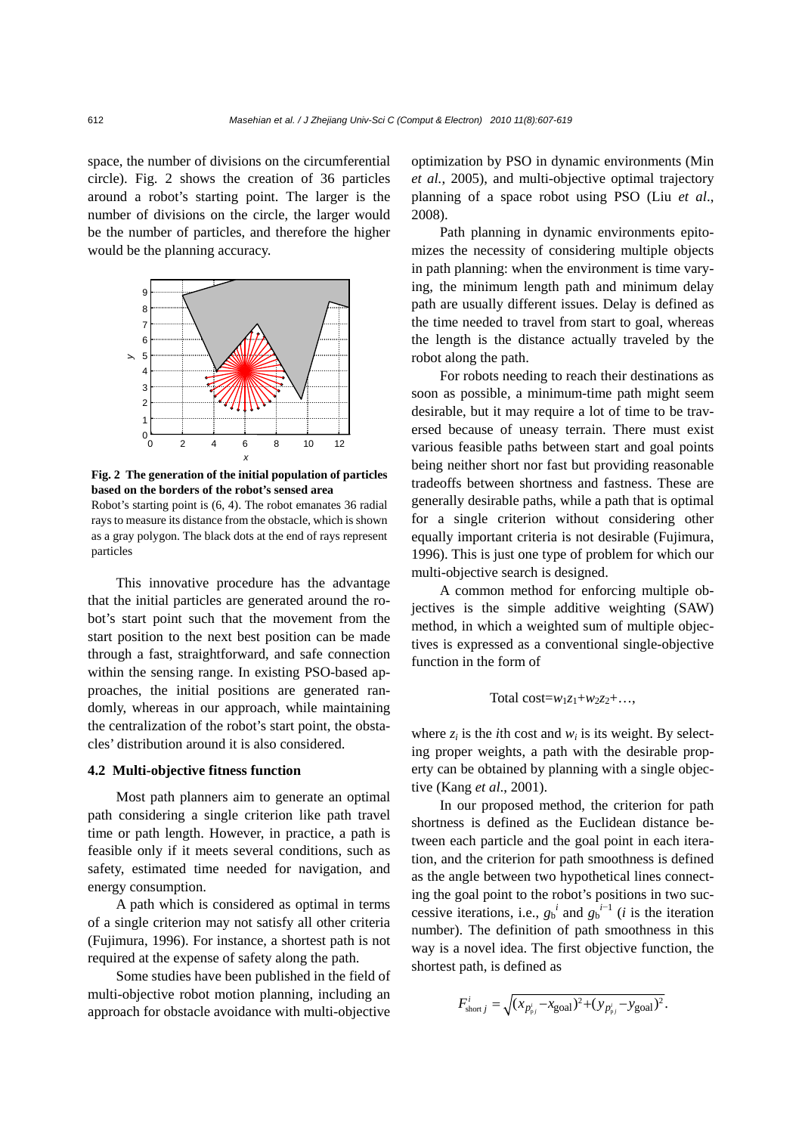space, the number of divisions on the circumferential circle). Fig. 2 shows the creation of 36 particles around a robot's starting point. The larger is the number of divisions on the circle, the larger would be the number of particles, and therefore the higher would be the planning accuracy.



**Fig. 2 The generation of the initial population of particles based on the borders of the robot's sensed area** 

Robot's starting point is (6, 4). The robot emanates 36 radial rays to measure its distance from the obstacle, which is shown as a gray polygon. The black dots at the end of rays represent particles

This innovative procedure has the advantage that the initial particles are generated around the robot's start point such that the movement from the start position to the next best position can be made through a fast, straightforward, and safe connection within the sensing range. In existing PSO-based approaches, the initial positions are generated randomly, whereas in our approach, while maintaining the centralization of the robot's start point, the obstacles' distribution around it is also considered.

#### **4.2 Multi-objective fitness function**

Most path planners aim to generate an optimal path considering a single criterion like path travel time or path length. However, in practice, a path is feasible only if it meets several conditions, such as safety, estimated time needed for navigation, and energy consumption.

A path which is considered as optimal in terms of a single criterion may not satisfy all other criteria (Fujimura, 1996). For instance, a shortest path is not required at the expense of safety along the path.

Some studies have been published in the field of multi-objective robot motion planning, including an approach for obstacle avoidance with multi-objective optimization by PSO in dynamic environments (Min *et al.*, 2005), and multi-objective optimal trajectory planning of a space robot using PSO (Liu *et al*., 2008).

Path planning in dynamic environments epitomizes the necessity of considering multiple objects in path planning: when the environment is time varying, the minimum length path and minimum delay path are usually different issues. Delay is defined as the time needed to travel from start to goal, whereas the length is the distance actually traveled by the robot along the path.

For robots needing to reach their destinations as soon as possible, a minimum-time path might seem desirable, but it may require a lot of time to be traversed because of uneasy terrain. There must exist various feasible paths between start and goal points being neither short nor fast but providing reasonable tradeoffs between shortness and fastness. These are generally desirable paths, while a path that is optimal for a single criterion without considering other equally important criteria is not desirable (Fujimura, 1996). This is just one type of problem for which our multi-objective search is designed.

A common method for enforcing multiple objectives is the simple additive weighting (SAW) method, in which a weighted sum of multiple objectives is expressed as a conventional single-objective function in the form of

$$
Total cost = w_1 z_1 + w_2 z_2 + \dots,
$$

where  $z_i$  is the *i*th cost and  $w_i$  is its weight. By selecting proper weights, a path with the desirable property can be obtained by planning with a single objective (Kang *et al*., 2001).

In our proposed method, the criterion for path shortness is defined as the Euclidean distance between each particle and the goal point in each iteration, and the criterion for path smoothness is defined as the angle between two hypothetical lines connecting the goal point to the robot's positions in two successive iterations, i.e.,  $g_b^i$  and  $g_b^{i-1}$  (*i* is the iteration number). The definition of path smoothness in this way is a novel idea. The first objective function, the shortest path, is defined as

$$
F_{\text{short }j}^{i} = \sqrt{(x_{p_{pj}^{i}} - x_{\text{goal}})^{2} + (y_{p_{pj}^{i}} - y_{\text{goal}})^{2}}.
$$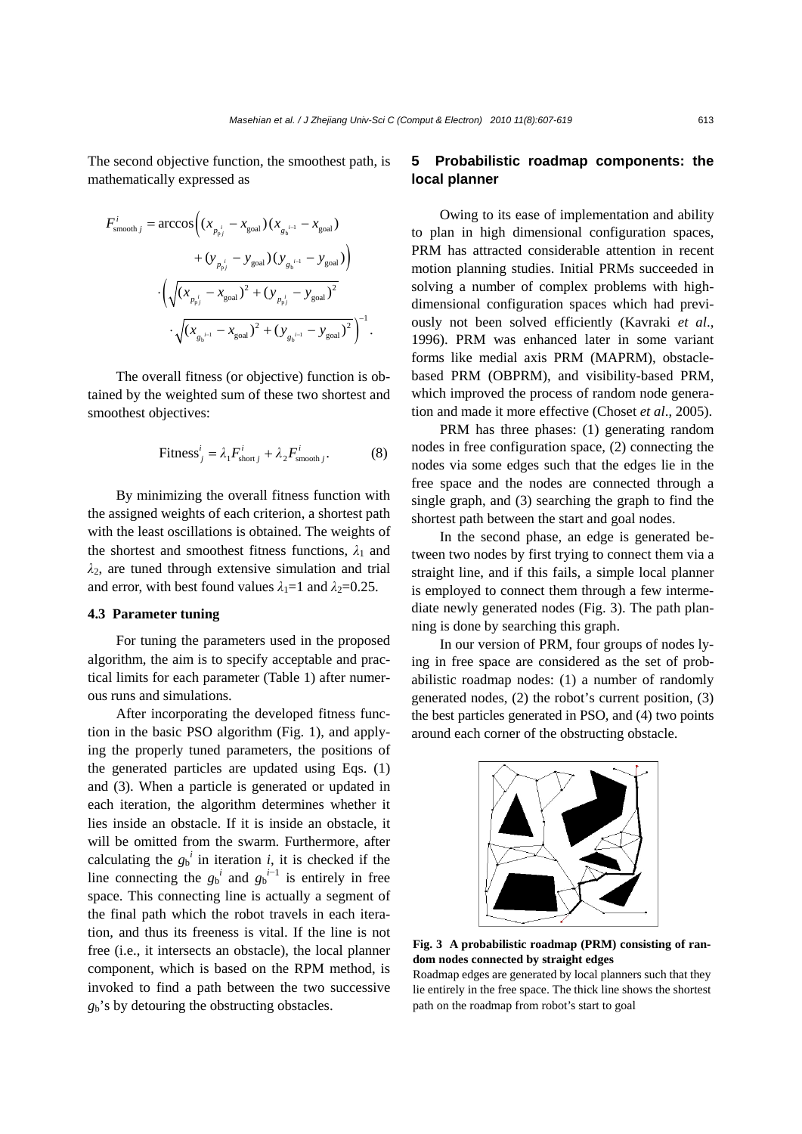The second objective function, the smoothest path, is mathematically expressed as

$$
F_{\text{smooth }j}^{i} = \arccos \left( (x_{p_{pj}^{i}} - x_{\text{goal}}) (x_{g_{b}^{i-1}} - x_{\text{goal}}) + (y_{p_{pj}^{i}} - y_{\text{goal}}) (y_{g_{b}^{i-1}} - y_{\text{goal}}) \right)
$$

$$
\cdot \left( \sqrt{(x_{p_{pj}^{i}} - x_{\text{goal}})^{2} + (y_{p_{pj}^{i}} - y_{\text{goal}})^{2}} - \sqrt{(x_{g_{b}^{i-1}} - x_{\text{goal}})^{2} + (y_{g_{b}^{i-1}} - y_{\text{goal}})^{2}} \right)^{-1}.
$$

The overall fitness (or objective) function is obtained by the weighted sum of these two shortest and smoothest objectives:

$$
\text{Fitness}_{j}^{i} = \lambda_{1} F_{\text{short }j}^{i} + \lambda_{2} F_{\text{smooth }j}^{i}. \tag{8}
$$

By minimizing the overall fitness function with the assigned weights of each criterion, a shortest path with the least oscillations is obtained. The weights of the shortest and smoothest fitness functions,  $\lambda_1$  and *λ*2, are tuned through extensive simulation and trial and error, with best found values  $\lambda_1 = 1$  and  $\lambda_2 = 0.25$ .

#### **4.3 Parameter tuning**

For tuning the parameters used in the proposed algorithm, the aim is to specify acceptable and practical limits for each parameter (Table 1) after numerous runs and simulations.

After incorporating the developed fitness function in the basic PSO algorithm (Fig. 1), and applying the properly tuned parameters, the positions of the generated particles are updated using Eqs. (1) and (3). When a particle is generated or updated in each iteration, the algorithm determines whether it lies inside an obstacle. If it is inside an obstacle, it will be omitted from the swarm. Furthermore, after calculating the  $g_b^i$  in iteration *i*, it is checked if the line connecting the  $g_b^i$  and  $g_b^{i-1}$  is entirely in free space. This connecting line is actually a segment of the final path which the robot travels in each iteration, and thus its freeness is vital. If the line is not free (i.e., it intersects an obstacle), the local planner component, which is based on the RPM method, is invoked to find a path between the two successive  $g_b$ 's by detouring the obstructing obstacles.

# **5 Probabilistic roadmap components: the local planner**

Owing to its ease of implementation and ability to plan in high dimensional configuration spaces, PRM has attracted considerable attention in recent motion planning studies. Initial PRMs succeeded in solving a number of complex problems with highdimensional configuration spaces which had previously not been solved efficiently (Kavraki *et al*., 1996). PRM was enhanced later in some variant forms like medial axis PRM (MAPRM), obstaclebased PRM (OBPRM), and visibility-based PRM, which improved the process of random node generation and made it more effective (Choset *et al*., 2005).

PRM has three phases: (1) generating random nodes in free configuration space, (2) connecting the nodes via some edges such that the edges lie in the free space and the nodes are connected through a single graph, and (3) searching the graph to find the shortest path between the start and goal nodes.

In the second phase, an edge is generated between two nodes by first trying to connect them via a straight line, and if this fails, a simple local planner is employed to connect them through a few intermediate newly generated nodes (Fig. 3). The path planning is done by searching this graph.

In our version of PRM, four groups of nodes lying in free space are considered as the set of probabilistic roadmap nodes: (1) a number of randomly generated nodes, (2) the robot's current position, (3) the best particles generated in PSO, and (4) two points around each corner of the obstructing obstacle.



**Fig. 3 A probabilistic roadmap (PRM) consisting of random nodes connected by straight edges** 

Roadmap edges are generated by local planners such that they lie entirely in the free space. The thick line shows the shortest path on the roadmap from robot's start to goal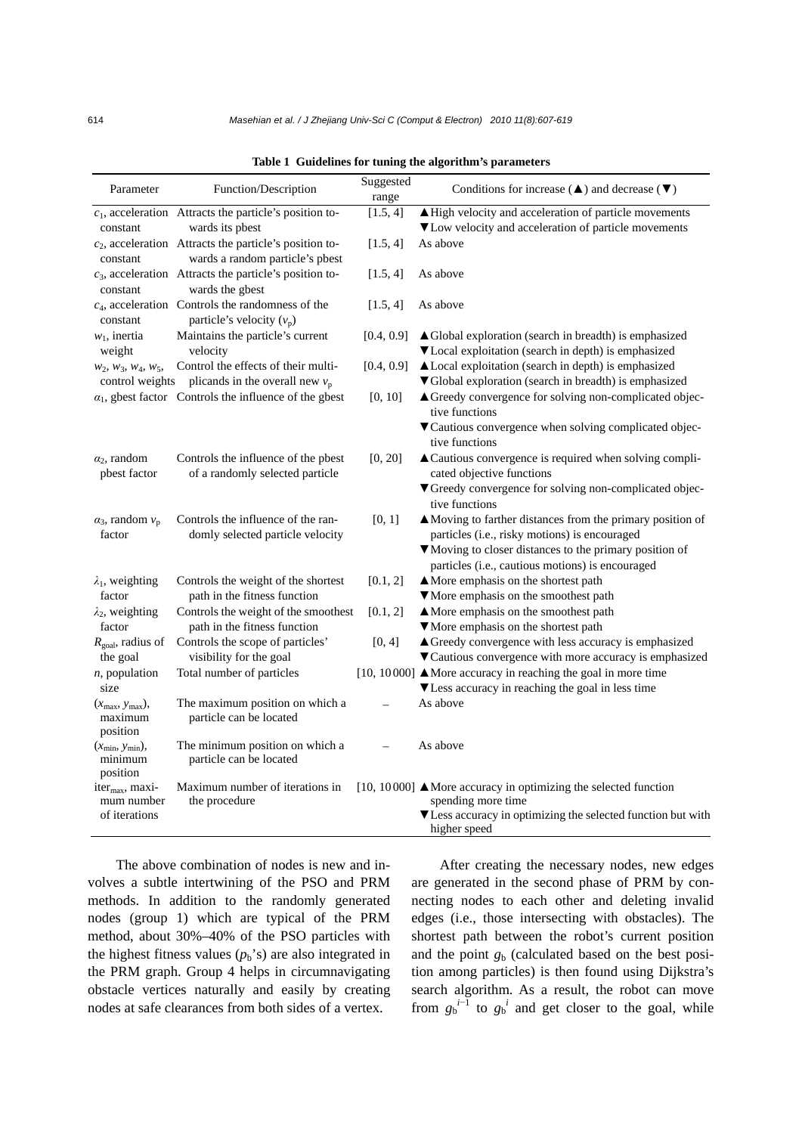| Parameter                                                  | Function/Description                                                                         | Suggested<br>range | Conditions for increase ( $\blacktriangle$ ) and decrease ( $\nabla$ )                                                                                                                                                     |
|------------------------------------------------------------|----------------------------------------------------------------------------------------------|--------------------|----------------------------------------------------------------------------------------------------------------------------------------------------------------------------------------------------------------------------|
|                                                            | $c_1$ , acceleration Attracts the particle's position to-                                    | [1.5, 4]           | ▲ High velocity and acceleration of particle movements                                                                                                                                                                     |
| constant                                                   | wards its pbest                                                                              |                    | ▼ Low velocity and acceleration of particle movements                                                                                                                                                                      |
| constant                                                   | $c_2$ , acceleration Attracts the particle's position to-<br>wards a random particle's pbest | [1.5, 4]           | As above                                                                                                                                                                                                                   |
| constant                                                   | $c_3$ , acceleration Attracts the particle's position to-<br>wards the gbest                 | [1.5, 4]           | As above                                                                                                                                                                                                                   |
| constant                                                   | $c_4$ , acceleration Controls the randomness of the<br>particle's velocity $(v_p)$           | [1.5, 4]           | As above                                                                                                                                                                                                                   |
| $w_1$ , inertia<br>weight                                  | Maintains the particle's current<br>velocity                                                 | [0.4, 0.9]         | ▲ Global exploration (search in breadth) is emphasized<br>▼ Local exploitation (search in depth) is emphasized                                                                                                             |
| $w_2, w_3, w_4, w_5,$                                      | Control the effects of their multi-                                                          | [0.4, 0.9]         | ▲ Local exploitation (search in depth) is emphasized                                                                                                                                                                       |
| control weights                                            | plicands in the overall new $v_p$                                                            |                    | ▼ Global exploration (search in breadth) is emphasized                                                                                                                                                                     |
|                                                            | $\alpha_1$ , gbest factor Controls the influence of the gbest                                | [0, 10]            | ▲ Greedy convergence for solving non-complicated objec-<br>tive functions                                                                                                                                                  |
|                                                            |                                                                                              |                    | ▼ Cautious convergence when solving complicated objec-<br>tive functions                                                                                                                                                   |
| $\alpha_2$ , random<br>pbest factor                        | Controls the influence of the pbest<br>of a randomly selected particle                       | [0, 20]            | ▲ Cautious convergence is required when solving compli-<br>cated objective functions                                                                                                                                       |
|                                                            |                                                                                              |                    | ▼ Greedy convergence for solving non-complicated objec-<br>tive functions                                                                                                                                                  |
| $\alpha_3$ , random $v_p$<br>factor                        | Controls the influence of the ran-<br>domly selected particle velocity                       | [0, 1]             | ▲ Moving to farther distances from the primary position of<br>particles (i.e., risky motions) is encouraged<br>▼ Moving to closer distances to the primary position of<br>particles (i.e., cautious motions) is encouraged |
| $\lambda_1$ , weighting<br>factor                          | Controls the weight of the shortest<br>path in the fitness function                          | [0.1, 2]           | ▲ More emphasis on the shortest path<br>▼ More emphasis on the smoothest path                                                                                                                                              |
| $\lambda_2$ , weighting                                    | Controls the weight of the smoothest                                                         | [0.1, 2]           | ▲ More emphasis on the smoothest path                                                                                                                                                                                      |
| factor                                                     | path in the fitness function                                                                 |                    | ▼ More emphasis on the shortest path                                                                                                                                                                                       |
| $R_{\text{goal}}$ , radius of                              | Controls the scope of particles'                                                             | [0, 4]             | ▲ Greedy convergence with less accuracy is emphasized                                                                                                                                                                      |
| the goal                                                   | visibility for the goal                                                                      |                    | ▼ Cautious convergence with more accuracy is emphasized                                                                                                                                                                    |
| $n$ , population<br>size                                   | Total number of particles                                                                    |                    | [10, 10000] ▲ More accuracy in reaching the goal in more time<br>▼ Less accuracy in reaching the goal in less time                                                                                                         |
| $(x_{\text{max}}, y_{\text{max}}),$<br>maximum<br>position | The maximum position on which a<br>particle can be located                                   |                    | As above                                                                                                                                                                                                                   |
| $(x_{\min}, y_{\min}),$<br>minimum<br>position             | The minimum position on which a<br>particle can be located                                   |                    | As above                                                                                                                                                                                                                   |
| iter <sub>max</sub> , maxi-<br>mum number<br>of iterations | Maximum number of iterations in<br>the procedure                                             |                    | [10, 10000] $\triangle$ More accuracy in optimizing the selected function<br>spending more time<br>▼ Less accuracy in optimizing the selected function but with<br>higher speed                                            |

**Table 1 Guidelines for tuning the algorithm's parameters** 

The above combination of nodes is new and involves a subtle intertwining of the PSO and PRM methods. In addition to the randomly generated nodes (group 1) which are typical of the PRM method, about 30%–40% of the PSO particles with the highest fitness values  $(p_b)$ 's) are also integrated in the PRM graph. Group 4 helps in circumnavigating obstacle vertices naturally and easily by creating nodes at safe clearances from both sides of a vertex.

After creating the necessary nodes, new edges are generated in the second phase of PRM by connecting nodes to each other and deleting invalid edges (i.e., those intersecting with obstacles). The shortest path between the robot's current position and the point *g*b (calculated based on the best position among particles) is then found using Dijkstra's search algorithm. As a result, the robot can move from  $g_b^i$ <sup>i−1</sup> to  $g_b^i$  and get closer to the goal, while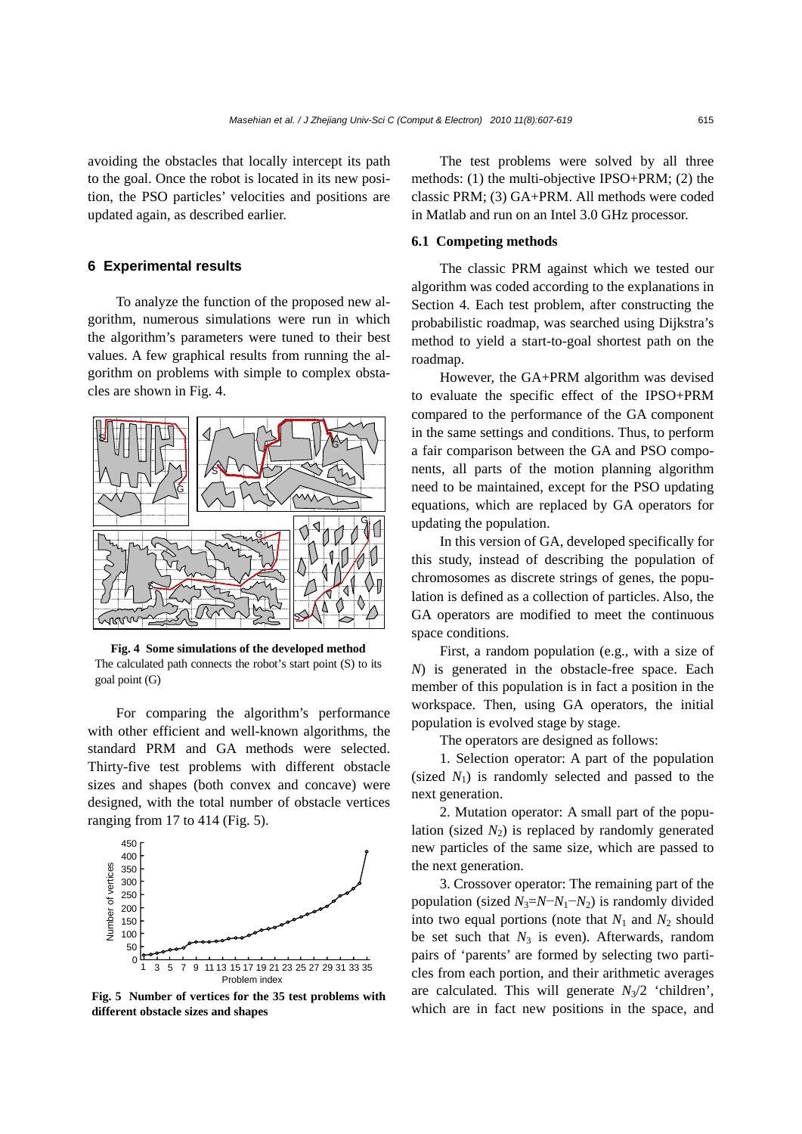avoiding the obstacles that locally intercept its path to the goal. Once the robot is located in its new position, the PSO particles' velocities and positions are updated again, as described earlier.

## **6 Experimental results**

To analyze the function of the proposed new algorithm, numerous simulations were run in which the algorithm's parameters were tuned to their best values. A few graphical results from running the algorithm on problems with simple to complex obstacles are shown in Fig. 4.



**Fig. 4 Some simulations of the developed method**  The calculated path connects the robot's start point (S) to its goal point (G)

For comparing the algorithm's performance with other efficient and well-known algorithms, the standard PRM and GA methods were selected. Thirty-five test problems with different obstacle sizes and shapes (both convex and concave) were designed, with the total number of obstacle vertices ranging from 17 to 414 (Fig. 5).



**Fig. 5 Number of vertices for the 35 test problems with different obstacle sizes and shapes** 

The test problems were solved by all three methods: (1) the multi-objective IPSO+PRM; (2) the classic PRM; (3) GA+PRM. All methods were coded in Matlab and run on an Intel 3.0 GHz processor.

## **6.1 Competing methods**

The classic PRM against which we tested our algorithm was coded according to the explanations in Section 4. Each test problem, after constructing the probabilistic roadmap, was searched using Dijkstra's method to yield a start-to-goal shortest path on the roadmap.

However, the GA+PRM algorithm was devised to evaluate the specific effect of the IPSO+PRM compared to the performance of the GA component in the same settings and conditions. Thus, to perform a fair comparison between the GA and PSO components, all parts of the motion planning algorithm need to be maintained, except for the PSO updating equations, which are replaced by GA operators for updating the population.

In this version of GA, developed specifically for this study, instead of describing the population of chromosomes as discrete strings of genes, the population is defined as a collection of particles. Also, the GA operators are modified to meet the continuous space conditions.

First, a random population (e.g., with a size of *N*) is generated in the obstacle-free space. Each member of this population is in fact a position in the workspace. Then, using GA operators, the initial population is evolved stage by stage.

The operators are designed as follows:

1. Selection operator: A part of the population (sized  $N_1$ ) is randomly selected and passed to the next generation.

2. Mutation operator: A small part of the population (sized  $N_2$ ) is replaced by randomly generated new particles of the same size, which are passed to the next generation.

3. Crossover operator: The remaining part of the population (sized *N*3=*N*−*N*1−*N*2) is randomly divided into two equal portions (note that  $N_1$  and  $N_2$  should be set such that  $N_3$  is even). Afterwards, random pairs of 'parents' are formed by selecting two particles from each portion, and their arithmetic averages are calculated. This will generate *N*3/2 'children', which are in fact new positions in the space, and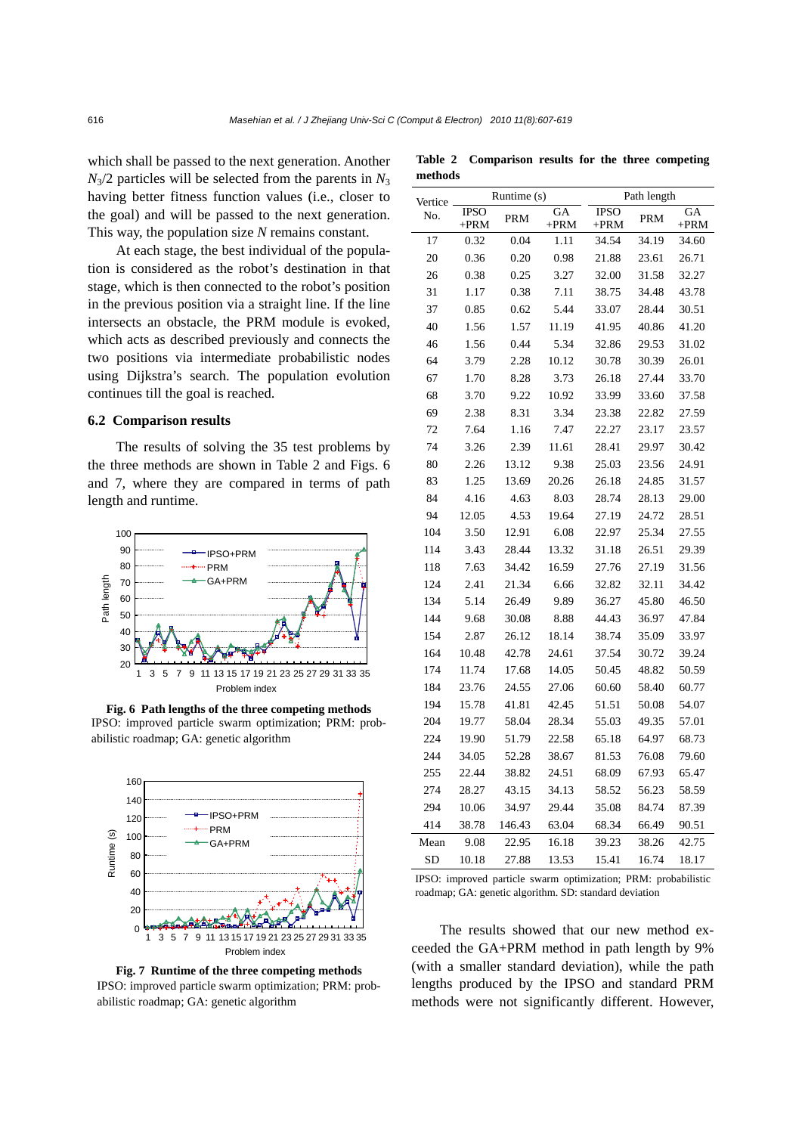which shall be passed to the next generation. Another  $N_3/2$  particles will be selected from the parents in  $N_3$ having better fitness function values (i.e., closer to the goal) and will be passed to the next generation. This way, the population size *N* remains constant.

At each stage, the best individual of the population is considered as the robot's destination in that stage, which is then connected to the robot's position in the previous position via a straight line. If the line intersects an obstacle, the PRM module is evoked, which acts as described previously and connects the two positions via intermediate probabilistic nodes using Dijkstra's search. The population evolution continues till the goal is reached.

#### **6.2 Comparison results**

The results of solving the 35 test problems by the three methods are shown in Table 2 and Figs. 6 and 7, where they are compared in terms of path length and runtime.



**Fig. 6 Path lengths of the three competing methods**  IPSO: improved particle swarm optimization; PRM: probabilistic roadmap; GA: genetic algorithm



**Fig. 7 Runtime of the three competing methods**  IPSO: improved particle swarm optimization; PRM: probabilistic roadmap; GA: genetic algorithm

| Vertice. | Runtime (s)           |        |              | Path length            |       |            |
|----------|-----------------------|--------|--------------|------------------------|-------|------------|
| No.      | <b>IPSO</b><br>$+PRM$ | PRM    | GA<br>$+PRM$ | <b>IPSO</b><br>$+$ PRM | PRM   | GA<br>+PRM |
| 17       | 0.32                  | 0.04   | 1.11         | 34.54                  | 34.19 | 34.60      |
| 20       | 0.36                  | 0.20   | 0.98         | 21.88                  | 23.61 | 26.71      |
| 26       | 0.38                  | 0.25   | 3.27         | 32.00                  | 31.58 | 32.27      |
| 31       | 1.17                  | 0.38   | 7.11         | 38.75                  | 34.48 | 43.78      |
| 37       | 0.85                  | 0.62   | 5.44         | 33.07                  | 28.44 | 30.51      |
| 40       | 1.56                  | 1.57   | 11.19        | 41.95                  | 40.86 | 41.20      |
| 46       | 1.56                  | 0.44   | 5.34         | 32.86                  | 29.53 | 31.02      |
| 64       | 3.79                  | 2.28   | 10.12        | 30.78                  | 30.39 | 26.01      |
| 67       | 1.70                  | 8.28   | 3.73         | 26.18                  | 27.44 | 33.70      |
| 68       | 3.70                  | 9.22   | 10.92        | 33.99                  | 33.60 | 37.58      |
| 69       | 2.38                  | 8.31   | 3.34         | 23.38                  | 22.82 | 27.59      |
| 72       | 7.64                  | 1.16   | 7.47         | 22.27                  | 23.17 | 23.57      |
| 74       | 3.26                  | 2.39   | 11.61        | 28.41                  | 29.97 | 30.42      |
| 80       | 2.26                  | 13.12  | 9.38         | 25.03                  | 23.56 | 24.91      |
| 83       | 1.25                  | 13.69  | 20.26        | 26.18                  | 24.85 | 31.57      |
| 84       | 4.16                  | 4.63   | 8.03         | 28.74                  | 28.13 | 29.00      |
| 94       | 12.05                 | 4.53   | 19.64        | 27.19                  | 24.72 | 28.51      |
| 104      | 3.50                  | 12.91  | 6.08         | 22.97                  | 25.34 | 27.55      |
| 114      | 3.43                  | 28.44  | 13.32        | 31.18                  | 26.51 | 29.39      |
| 118      | 7.63                  | 34.42  | 16.59        | 27.76                  | 27.19 | 31.56      |
| 124      | 2.41                  | 21.34  | 6.66         | 32.82                  | 32.11 | 34.42      |
| 134      | 5.14                  | 26.49  | 9.89         | 36.27                  | 45.80 | 46.50      |
| 144      | 9.68                  | 30.08  | 8.88         | 44.43                  | 36.97 | 47.84      |
| 154      | 2.87                  | 26.12  | 18.14        | 38.74                  | 35.09 | 33.97      |
| 164      | 10.48                 | 42.78  | 24.61        | 37.54                  | 30.72 | 39.24      |
| 174      | 11.74                 | 17.68  | 14.05        | 50.45                  | 48.82 | 50.59      |
| 184      | 23.76                 | 24.55  | 27.06        | 60.60                  | 58.40 | 60.77      |
| 194      | 15.78                 | 41.81  | 42.45        | 51.51                  | 50.08 | 54.07      |
| 204      | 19.77                 | 58.04  | 28.34        | 55.03                  | 49.35 | 57.01      |
| 224      | 19.90                 | 51.79  | 22.58        | 65.18                  | 64.97 | 68.73      |
| 244      | 34.05                 | 52.28  | 38.67        | 81.53                  | 76.08 | 79.60      |
| 255      | 22.44                 | 38.82  | 24.51        | 68.09                  | 67.93 | 65.47      |
| 274      | 28.27                 | 43.15  | 34.13        | 58.52                  | 56.23 | 58.59      |
| 294      | 10.06                 | 34.97  | 29.44        | 35.08                  | 84.74 | 87.39      |
| 414      | 38.78                 | 146.43 | 63.04        | 68.34                  | 66.49 | 90.51      |
| Mean     | 9.08                  | 22.95  | 16.18        | 39.23                  | 38.26 | 42.75      |
| SD       | 10.18                 | 27.88  | 13.53        | 15.41                  | 16.74 | 18.17      |

**Table 2 Comparison results for the three competing methods** 

IPSO: improved particle swarm optimization; PRM: probabilistic roadmap; GA: genetic algorithm. SD: standard deviation

The results showed that our new method exceeded the GA+PRM method in path length by 9% (with a smaller standard deviation), while the path lengths produced by the IPSO and standard PRM methods were not significantly different. However,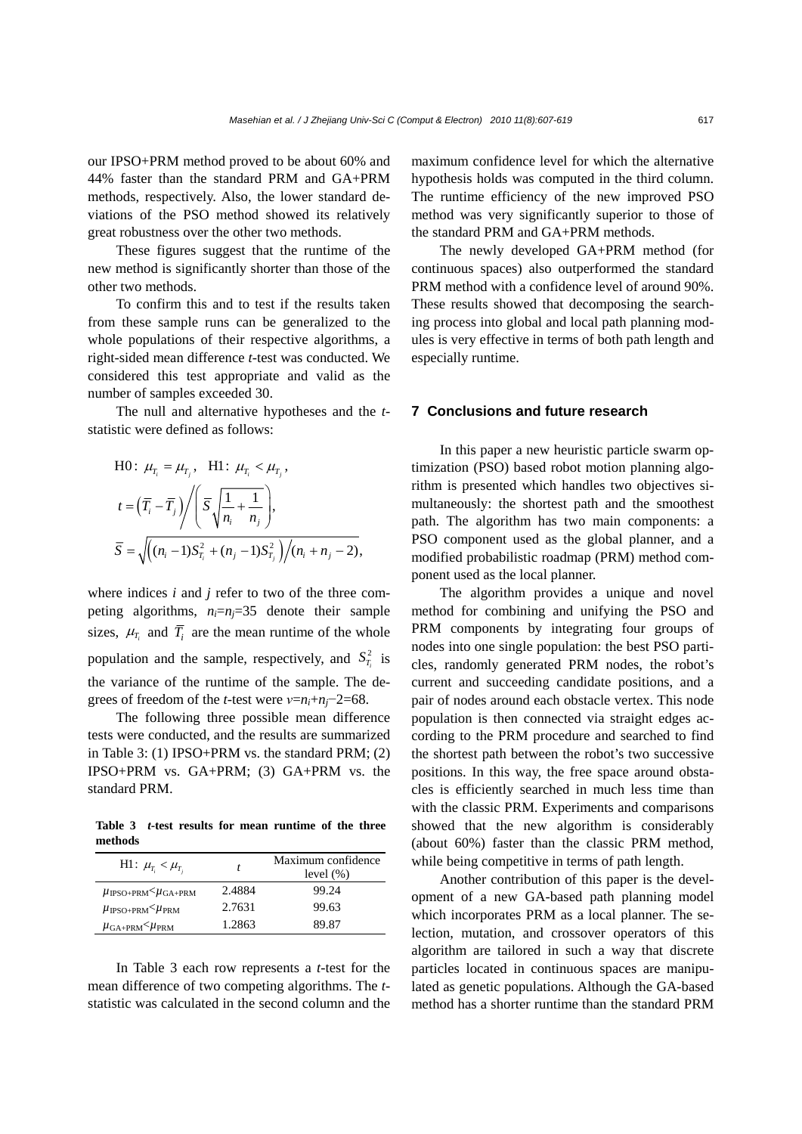our IPSO+PRM method proved to be about 60% and 44% faster than the standard PRM and GA+PRM methods, respectively. Also, the lower standard deviations of the PSO method showed its relatively great robustness over the other two methods.

These figures suggest that the runtime of the new method is significantly shorter than those of the other two methods.

To confirm this and to test if the results taken from these sample runs can be generalized to the whole populations of their respective algorithms, a right-sided mean difference *t*-test was conducted. We considered this test appropriate and valid as the number of samples exceeded 30.

The null and alternative hypotheses and the *t*statistic were defined as follows:

H0: 
$$
\mu_{T_i} = \mu_{T_j}
$$
, H1:  $\mu_{T_i} < \mu_{T_j}$ ,  
\n
$$
t = (\overline{T_i} - \overline{T_j}) / (\overline{S} \sqrt{\frac{1}{n_i} + \frac{1}{n_j}}),
$$
\n
$$
\overline{S} = \sqrt{((n_i - 1)S_{T_i}^2 + (n_j - 1)S_{T_j}^2)/(n_i + n_j - 2)},
$$

where indices *i* and *j* refer to two of the three competing algorithms,  $n_i=n_j=35$  denote their sample sizes,  $\mu_{T_i}$  and  $\overline{T_i}$  are the mean runtime of the whole population and the sample, respectively, and  $S_{T_i}^2$  is the variance of the runtime of the sample. The degrees of freedom of the *t*-test were *ν*=*ni*+*nj*−2=68.

The following three possible mean difference tests were conducted, and the results are summarized in Table 3: (1) IPSO+PRM vs. the standard PRM; (2) IPSO+PRM vs. GA+PRM; (3) GA+PRM vs. the standard PRM.

**Table 3** *t***-test results for mean runtime of the three methods**

| H1: $\mu_{T_i} < \mu_{T_i}$                         |        | Maximum confidence<br>level $(\% )$ |
|-----------------------------------------------------|--------|-------------------------------------|
| $\mu_{\text{IPSO+PRM}} \leq \mu_{\text{GA+PRM}}$    | 2.4884 | 99.24                               |
| $\mu_{\text{IPSO+PRM}} \leq \mu_{\text{PRM}}$       | 2.7631 | 99.63                               |
| $\mu$ <sub>GA+PRM</sub> $\leq$ $\mu$ <sub>PRM</sub> | 1.2863 | 89.87                               |

In Table 3 each row represents a *t*-test for the mean difference of two competing algorithms. The *t*statistic was calculated in the second column and the maximum confidence level for which the alternative hypothesis holds was computed in the third column. The runtime efficiency of the new improved PSO method was very significantly superior to those of the standard PRM and GA+PRM methods.

The newly developed GA+PRM method (for continuous spaces) also outperformed the standard PRM method with a confidence level of around 90%. These results showed that decomposing the searching process into global and local path planning modules is very effective in terms of both path length and especially runtime.

## **7 Conclusions and future research**

In this paper a new heuristic particle swarm optimization (PSO) based robot motion planning algorithm is presented which handles two objectives simultaneously: the shortest path and the smoothest path. The algorithm has two main components: a PSO component used as the global planner, and a modified probabilistic roadmap (PRM) method component used as the local planner.

The algorithm provides a unique and novel method for combining and unifying the PSO and PRM components by integrating four groups of nodes into one single population: the best PSO particles, randomly generated PRM nodes, the robot's current and succeeding candidate positions, and a pair of nodes around each obstacle vertex. This node population is then connected via straight edges according to the PRM procedure and searched to find the shortest path between the robot's two successive positions. In this way, the free space around obstacles is efficiently searched in much less time than with the classic PRM. Experiments and comparisons showed that the new algorithm is considerably (about 60%) faster than the classic PRM method, while being competitive in terms of path length.

Another contribution of this paper is the development of a new GA-based path planning model which incorporates PRM as a local planner. The selection, mutation, and crossover operators of this algorithm are tailored in such a way that discrete particles located in continuous spaces are manipulated as genetic populations. Although the GA-based method has a shorter runtime than the standard PRM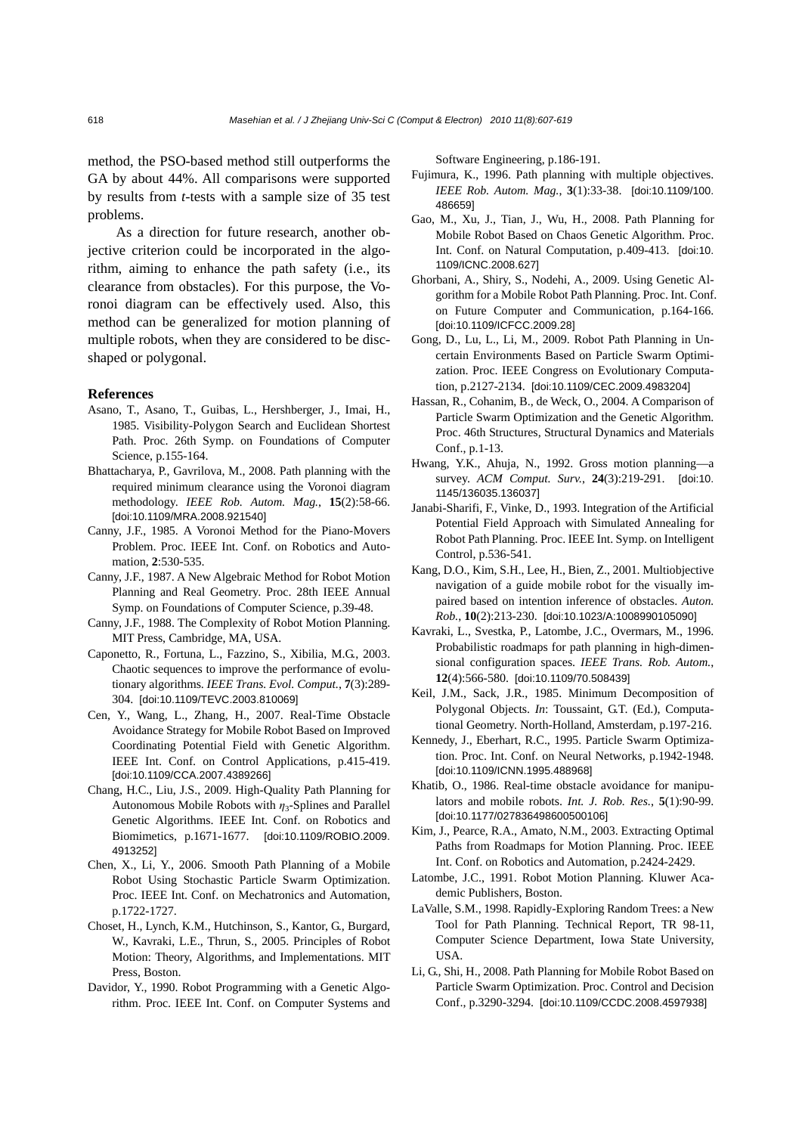method, the PSO-based method still outperforms the GA by about 44%. All comparisons were supported by results from *t*-tests with a sample size of 35 test problems.

As a direction for future research, another objective criterion could be incorporated in the algorithm, aiming to enhance the path safety (i.e., its clearance from obstacles). For this purpose, the Voronoi diagram can be effectively used. Also, this method can be generalized for motion planning of multiple robots, when they are considered to be discshaped or polygonal.

#### **References**

- Asano, T., Asano, T., Guibas, L., Hershberger, J., Imai, H., 1985. Visibility-Polygon Search and Euclidean Shortest Path. Proc. 26th Symp. on Foundations of Computer Science, p.155-164.
- Bhattacharya, P., Gavrilova, M., 2008. Path planning with the required minimum clearance using the Voronoi diagram methodology. *IEEE Rob. Autom. Mag.*, **15**(2):58-66. [doi:10.1109/MRA.2008.921540]
- Canny, J.F., 1985. A Voronoi Method for the Piano-Movers Problem. Proc. IEEE Int. Conf. on Robotics and Automation, **2**:530-535.
- Canny, J.F., 1987. A New Algebraic Method for Robot Motion Planning and Real Geometry. Proc. 28th IEEE Annual Symp. on Foundations of Computer Science, p.39-48.
- Canny, J.F., 1988. The Complexity of Robot Motion Planning. MIT Press, Cambridge, MA, USA.
- Caponetto, R., Fortuna, L., Fazzino, S., Xibilia, M.G., 2003. Chaotic sequences to improve the performance of evolutionary algorithms. *IEEE Trans. Evol. Comput.*, **7**(3):289- 304. [doi:10.1109/TEVC.2003.810069]
- Cen, Y., Wang, L., Zhang, H., 2007. Real-Time Obstacle Avoidance Strategy for Mobile Robot Based on Improved Coordinating Potential Field with Genetic Algorithm. IEEE Int. Conf. on Control Applications, p.415-419. [doi:10.1109/CCA.2007.4389266]
- Chang, H.C., Liu, J.S., 2009. High-Quality Path Planning for Autonomous Mobile Robots with *η*<sub>3</sub>-Splines and Parallel Genetic Algorithms. IEEE Int. Conf. on Robotics and Biomimetics, p.1671-1677. [doi:10.1109/ROBIO.2009. 4913252]
- Chen, X., Li, Y., 2006. Smooth Path Planning of a Mobile Robot Using Stochastic Particle Swarm Optimization. Proc. IEEE Int. Conf. on Mechatronics and Automation, p.1722-1727.
- Choset, H., Lynch, K.M., Hutchinson, S., Kantor, G., Burgard, W., Kavraki, L.E., Thrun, S., 2005. Principles of Robot Motion: Theory, Algorithms, and Implementations. MIT Press, Boston.
- Davidor, Y., 1990. Robot Programming with a Genetic Algorithm. Proc. IEEE Int. Conf. on Computer Systems and

Software Engineering, p.186-191.

- Fujimura, K., 1996. Path planning with multiple objectives. *IEEE Rob. Autom. Mag.*, **3**(1):33-38. [doi:10.1109/100. 486659]
- Gao, M., Xu, J., Tian, J., Wu, H., 2008. Path Planning for Mobile Robot Based on Chaos Genetic Algorithm. Proc. Int. Conf. on Natural Computation, p.409-413. [doi:10. 1109/ICNC.2008.627]
- Ghorbani, A., Shiry, S., Nodehi, A., 2009. Using Genetic Algorithm for a Mobile Robot Path Planning. Proc. Int. Conf. on Future Computer and Communication, p.164-166. [doi:10.1109/ICFCC.2009.28]
- Gong, D., Lu, L., Li, M., 2009. Robot Path Planning in Uncertain Environments Based on Particle Swarm Optimization. Proc. IEEE Congress on Evolutionary Computation, p.2127-2134. [doi:10.1109/CEC.2009.4983204]
- Hassan, R., Cohanim, B., de Weck, O., 2004. A Comparison of Particle Swarm Optimization and the Genetic Algorithm. Proc. 46th Structures, Structural Dynamics and Materials Conf., p.1-13.
- Hwang, Y.K., Ahuja, N., 1992. Gross motion planning—a survey. *ACM Comput. Surv.*, **24**(3):219-291. [doi:10. 1145/136035.136037]
- Janabi-Sharifi, F., Vinke, D., 1993. Integration of the Artificial Potential Field Approach with Simulated Annealing for Robot Path Planning. Proc. IEEE Int. Symp. on Intelligent Control, p.536-541.
- Kang, D.O., Kim, S.H., Lee, H., Bien, Z., 2001. Multiobjective navigation of a guide mobile robot for the visually impaired based on intention inference of obstacles. *Auton. Rob.*, **10**(2):213-230. [doi:10.1023/A:1008990105090]
- Kavraki, L., Svestka, P., Latombe, J.C., Overmars, M., 1996. Probabilistic roadmaps for path planning in high-dimensional configuration spaces. *IEEE Trans. Rob. Autom.*, **12**(4):566-580. [doi:10.1109/70.508439]
- Keil, J.M., Sack, J.R., 1985. Minimum Decomposition of Polygonal Objects. *In*: Toussaint, G.T. (Ed.), Computational Geometry. North-Holland, Amsterdam, p.197-216.
- Kennedy, J., Eberhart, R.C., 1995. Particle Swarm Optimization. Proc. Int. Conf. on Neural Networks, p.1942-1948. [doi:10.1109/ICNN.1995.488968]
- Khatib, O., 1986. Real-time obstacle avoidance for manipulators and mobile robots. *Int. J. Rob. Res.*, **5**(1):90-99. [doi:10.1177/027836498600500106]
- Kim, J., Pearce, R.A., Amato, N.M., 2003. Extracting Optimal Paths from Roadmaps for Motion Planning. Proc. IEEE Int. Conf. on Robotics and Automation, p.2424-2429.
- Latombe, J.C., 1991. Robot Motion Planning. Kluwer Academic Publishers, Boston.
- LaValle, S.M., 1998. Rapidly-Exploring Random Trees: a New Tool for Path Planning. Technical Report, TR 98-11, Computer Science Department, Iowa State University, USA.
- Li, G., Shi, H., 2008. Path Planning for Mobile Robot Based on Particle Swarm Optimization. Proc. Control and Decision Conf., p.3290-3294. [doi:10.1109/CCDC.2008.4597938]